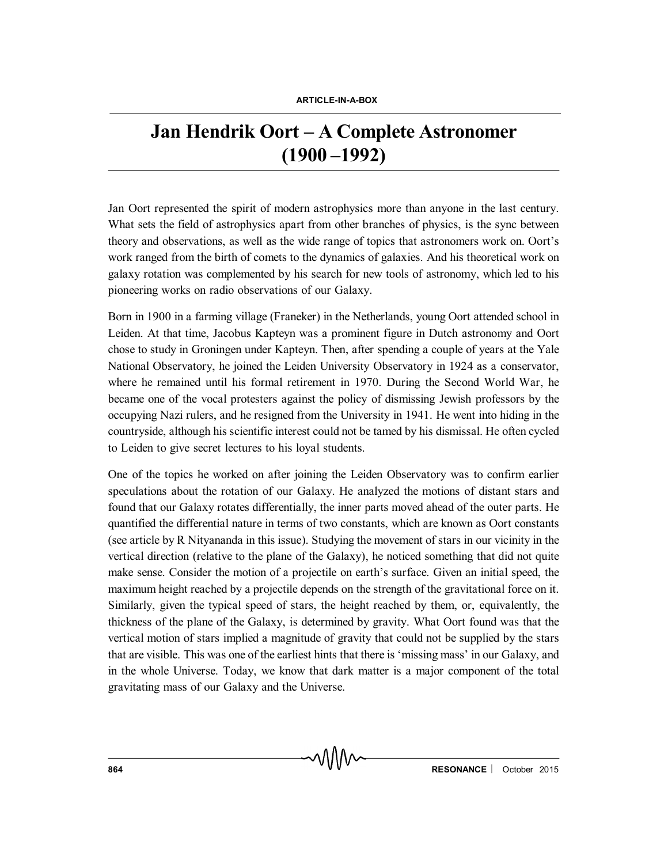## **Jan Hendrik Oort – A Complete Astronomer (1900 –1992)**

Jan Oort represented the spirit of modern astrophysics more than anyone in the last century. What sets the field of astrophysics apart from other branches of physics, is the sync between theory and observations, as well as the wide range of topics that astronomers work on. Oort's work ranged from the birth of comets to the dynamics of galaxies. And his theoretical work on galaxy rotation was complemented by his search for new tools of astronomy, which led to his pioneering works on radio observations of our Galaxy.

Born in 1900 in a farming village (Franeker) in the Netherlands, young Oort attended school in Leiden. At that time, Jacobus Kapteyn was a prominent figure in Dutch astronomy and Oort chose to study in Groningen under Kapteyn. Then, after spending a couple of years at the Yale National Observatory, he joined the Leiden University Observatory in 1924 as a conservator, where he remained until his formal retirement in 1970. During the Second World War, he became one of the vocal protesters against the policy of dismissing Jewish professors by the occupying Nazi rulers, and he resigned from the University in 1941. He went into hiding in the countryside, although his scientific interest could not be tamed by his dismissal. He often cycled to Leiden to give secret lectures to his loyal students.

One of the topics he worked on after joining the Leiden Observatory was to confirm earlier speculations about the rotation of our Galaxy. He analyzed the motions of distant stars and found that our Galaxy rotates differentially, the inner parts moved ahead of the outer parts. He quantified the differential nature in terms of two constants, which are known as Oort constants (see article by R Nityananda in this issue). Studying the movement of stars in our vicinity in the vertical direction (relative to the plane of the Galaxy), he noticed something that did not quite make sense. Consider the motion of a projectile on earth's surface. Given an initial speed, the maximum height reached by a projectile depends on the strength of the gravitational force on it. Similarly, given the typical speed of stars, the height reached by them, or, equivalently, the thickness of the plane of the Galaxy, is determined by gravity. What Oort found was that the vertical motion of stars implied a magnitude of gravity that could not be supplied by the stars that are visible. This was one of the earliest hints that there is 'missing mass' in our Galaxy, and in the whole Universe. Today, we know that dark matter is a major component of the total gravitating mass of our Galaxy and the Universe.